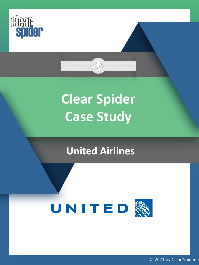

## **Clear Spider Case Study**

AN

### **United Airlines**

# UNITED

© 2021 by Clear Spider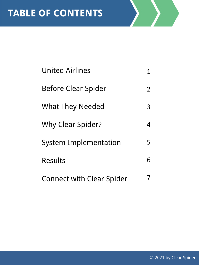| <b>United Airlines</b>           | 1 |
|----------------------------------|---|
| <b>Before Clear Spider</b>       | 2 |
| <b>What They Needed</b>          | 3 |
| <b>Why Clear Spider?</b>         | 4 |
| <b>System Implementation</b>     | 5 |
| <b>Results</b>                   | 6 |
| <b>Connect with Clear Spider</b> |   |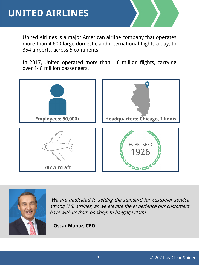United Airlines is a major American airline company that operates more than 4,600 large domestic and international flights a day, to 354 airports, across 5 continents.

In 2017, United operated more than 1.6 million flights, carrying over 148 million passengers.





"We are dedicated to setting the standard for customer service among U.S. airlines, as we elevate the experience our customers have with us from booking, to baggage claim."

**- Oscar Munoz**, **CEO**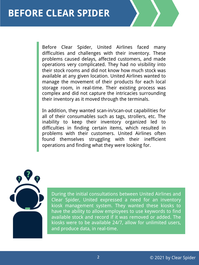#### **BEFORE CLEAR SPIDER**

Before Clear Spider, United Airlines faced many difficulties and challenges with their inventory. These problems caused delays, affected customers, and made operations very complicated. They had no visibility into their stock rooms and did not know how much stock was available at any given location. United Airlines wanted to manage the movement of their products for each local storage room, in real-time. Their existing process was complex and did not capture the intricacies surrounding their inventory as it moved through the terminals.

In addition, they wanted scan-in/scan-out capabilities for all of their consumables such as tags, strollers, etc. The inability to keep their inventory organized led to difficulties in finding certain items, which resulted in problems with their customers. United Airlines often found themselves struggling with their inefficient operations and finding what they were looking for.



During the initial consultations between United Airlines and Clear Spider, United expressed a need for an inventory kiosk management system. They wanted these kiosks to have the ability to allow employees to use keywords to find available stock and record if it was removed or added. The kiosks were to be available 24/7, allow for unlimited users, and produce data, in real-time.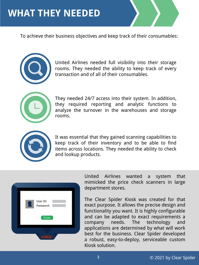#### **WHAT THEY NEEDED**

To achieve their business objectives and keep track of their consumables:



United Airlines needed full visibility into their storage rooms. They needed the ability to keep track of every transaction and of all of their consumables.



They needed 24/7 access into their system. In addition, they required reporting and analytic functions to analyze the turnover in the warehouses and storage rooms.



It was essential that they gained scanning capabilities to keep track of their inventory and to be able to find items across locations. They needed the ability to check and lookup products.



United Airlines wanted a system that mimicked the price check scanners in large department stores.

The Clear Spider Kiosk was created for that exact purpose. It allows the precise design and functionality you want. It is highly configurable and can be adapted to exact requirements a company needs. The technology and applications are determined by what will work best for the business. Clear Spider developed a robust, easy-to-deploy, serviceable custom Kiosk solution.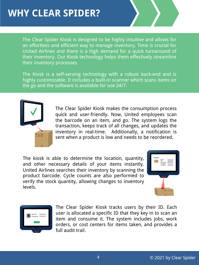The Clear Spider Kiosk is designed to be highly intuitive and allows for an effortless and efficient way to manage inventory. Time is crucial for United Airlines and there is a high demand for a quick turnaround of their inventory. Our Kiosk technology helps them effectively streamline their inventory processes.

The Kiosk is a self-serving technology with a robust back-end and is highly customizable. It includes a built-in scanner which scans items on the go and the software is available for use 24/7.



The Clear Spider Kiosk makes the consumption process quick and user-friendly. Now, United employees scan the barcode on an item, and go. The system logs the transaction, keeps track of all changes, and updates the inventory in real-time. Additionally, a notification is sent when a product is low and needs to be reordered.

The kiosk is able to determine the location, quantity, and other necessary details of your items instantly. United Airlines searches their inventory by scanning the product barcode. Cycle counts are also performed to verify the stock quantity, allowing changes to inventory levels.





The Clear Spider Kiosk tracks users by their ID. Each user is allocated a specific ID that they key in to scan an item and consume it. The system includes jobs, work orders, or cost centers for items taken, and provides a full audit trail.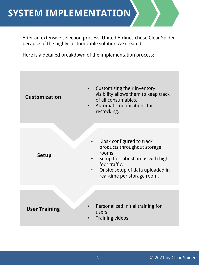#### **SYSTEM IMPLEMENTATION**

After an extensive selection process, United Airlines chose Clear Spider because of the highly customizable solution we created.

Here is a detailed breakdown of the implementation process:

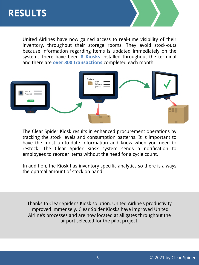

United Airlines have now gained access to real-time visibility of their inventory, throughout their storage rooms. They avoid stock-outs because information regarding items is updated immediately on the system. There have been **8 Kiosks** installed throughout the terminal and there are **over 300 transactions** completed each month.



The Clear Spider Kiosk results in enhanced procurement operations by tracking the stock levels and consumption patterns. It is important to have the most up-to-date information and know when you need to restock. The Clear Spider Kiosk system sends a notification to employees to reorder items without the need for a cycle count.

In addition, the Kiosk has inventory specific analytics so there is always the optimal amount of stock on hand.

Thanks to Clear Spider's Kiosk solution, United Airline's productivity improved immensely. Clear Spider Kiosks have improved United Airline's processes and are now located at all gates throughout the airport selected for the pilot project.